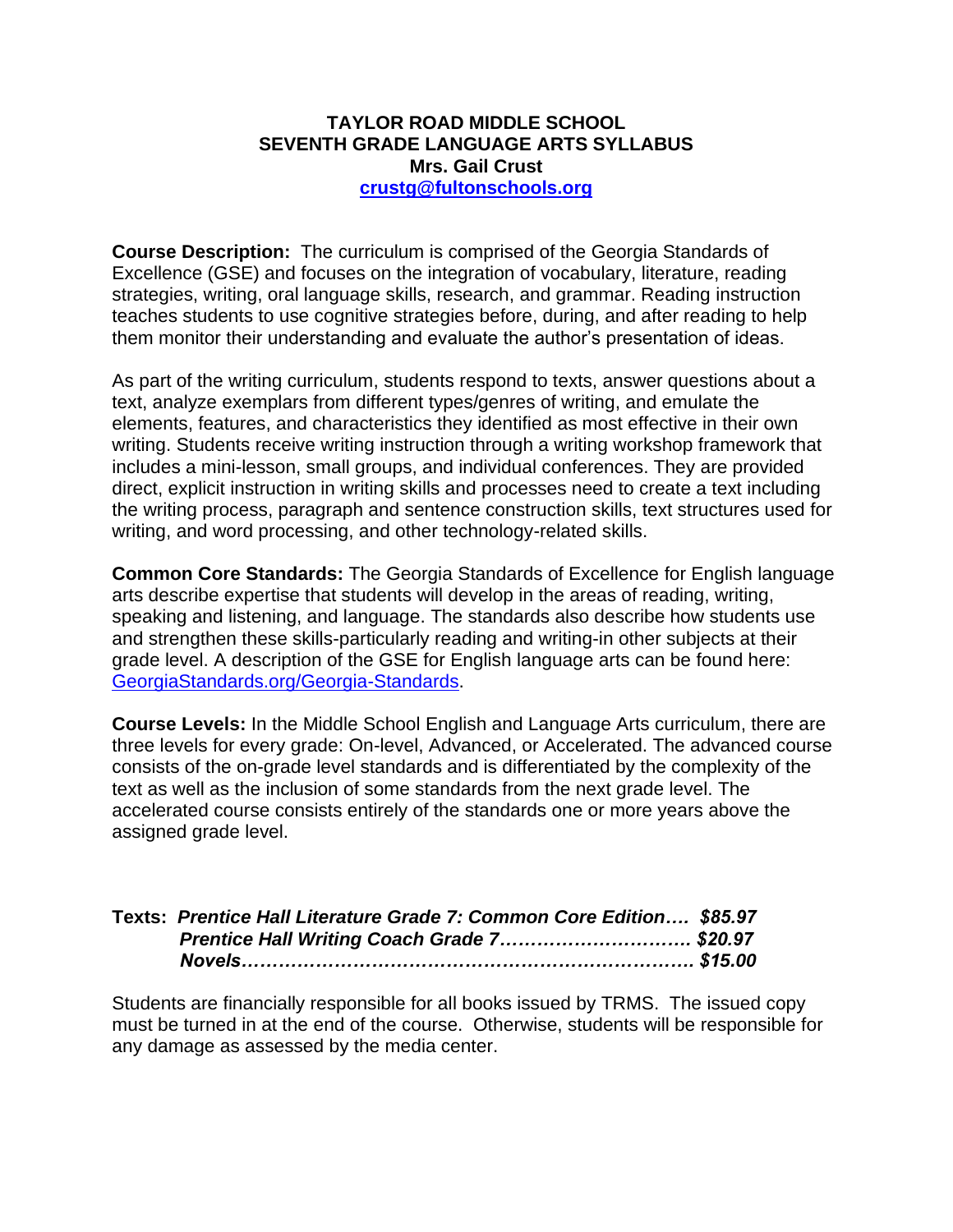## **TAYLOR ROAD MIDDLE SCHOOL SEVENTH GRADE LANGUAGE ARTS SYLLABUS Mrs. Gail Crust [crustg@fultonschools.org](mailto:crustg@fultonschools.org)**

**Course Description:** The curriculum is comprised of the Georgia Standards of Excellence (GSE) and focuses on the integration of vocabulary, literature, reading strategies, writing, oral language skills, research, and grammar. Reading instruction teaches students to use cognitive strategies before, during, and after reading to help them monitor their understanding and evaluate the author's presentation of ideas.

As part of the writing curriculum, students respond to texts, answer questions about a text, analyze exemplars from different types/genres of writing, and emulate the elements, features, and characteristics they identified as most effective in their own writing. Students receive writing instruction through a writing workshop framework that includes a mini-lesson, small groups, and individual conferences. They are provided direct, explicit instruction in writing skills and processes need to create a text including the writing process, paragraph and sentence construction skills, text structures used for writing, and word processing, and other technology-related skills.

**Common Core Standards:** The Georgia Standards of Excellence for English language arts describe expertise that students will develop in the areas of reading, writing, speaking and listening, and language. The standards also describe how students use and strengthen these skills-particularly reading and writing-in other subjects at their grade level. A description of the GSE for English language arts can be found here: [GeorgiaStandards.org/Georgia-Standards.](https://www.georgiastandards.org/Georgia-Standards)

**Course Levels:** In the Middle School English and Language Arts curriculum, there are three levels for every grade: On-level, Advanced, or Accelerated. The advanced course consists of the on-grade level standards and is differentiated by the complexity of the text as well as the inclusion of some standards from the next grade level. The accelerated course consists entirely of the standards one or more years above the assigned grade level.

| Texts: Prentice Hall Literature Grade 7: Common Core Edition \$85.97 |  |
|----------------------------------------------------------------------|--|
| Prentice Hall Writing Coach Grade 7\$20.97                           |  |
|                                                                      |  |

Students are financially responsible for all books issued by TRMS. The issued copy must be turned in at the end of the course. Otherwise, students will be responsible for any damage as assessed by the media center.